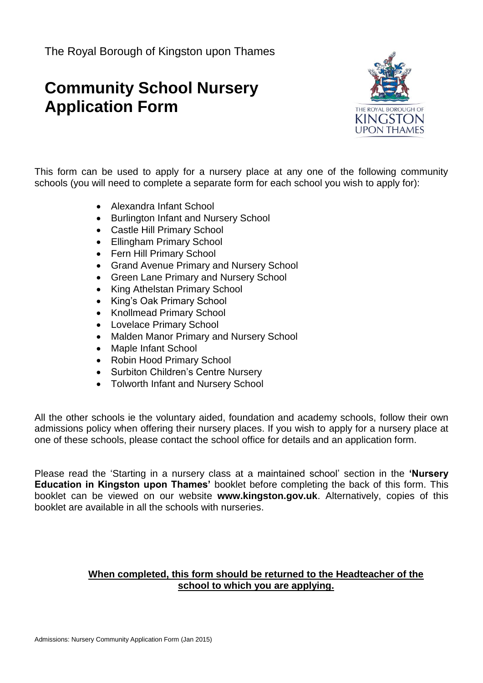## **Community School Nursery Application Form**



This form can be used to apply for a nursery place at any one of the following community schools (you will need to complete a separate form for each school you wish to apply for):

- Alexandra Infant School
- Burlington Infant and Nursery School
- Castle Hill Primary School
- Ellingham Primary School
- Fern Hill Primary School
- Grand Avenue Primary and Nursery School
- Green Lane Primary and Nursery School
- King Athelstan Primary School
- King's Oak Primary School
- Knollmead Primary School
- Lovelace Primary School
- Malden Manor Primary and Nursery School
- Maple Infant School
- Robin Hood Primary School
- Surbiton Children's Centre Nursery
- Tolworth Infant and Nursery School

All the other schools ie the voluntary aided, foundation and academy schools, follow their own admissions policy when offering their nursery places. If you wish to apply for a nursery place at one of these schools, please contact the school office for details and an application form.

Please read the 'Starting in a nursery class at a maintained school' section in the **'Nursery Education in Kingston upon Thames'** booklet before completing the back of this form. This booklet can be viewed on our website **www.kingston.gov.uk**. Alternatively, copies of this booklet are available in all the schools with nurseries.

## **When completed, this form should be returned to the Headteacher of the school to which you are applying.**